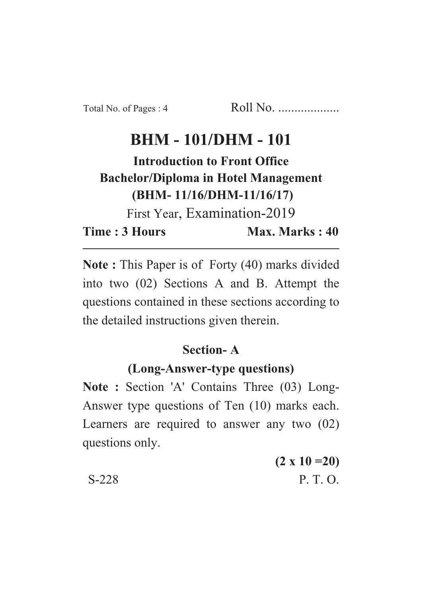# **BHM - 101/DHM - 101**

**Introduction to Front Office Bachelor/Diploma in Hotel Management (BHM- 11/16/DHM-11/16/17)**

First Year, Examination-2019

**Time : 3 Hours Max. Marks : 40** 

**Note :** This Paper is of Forty (40) marks divided into two (02) Sections A and B. Attempt the questions contained in these sections according to the detailed instructions given therein.

## **Section- A**

## **(Long-Answer-type questions)**

**Note :** Section 'A' Contains Three (03) Long-Answer type questions of Ten (10) marks each. Learners are required to answer any two (02) questions only.

**(2 x 10 =20)** S-228 P. T. O.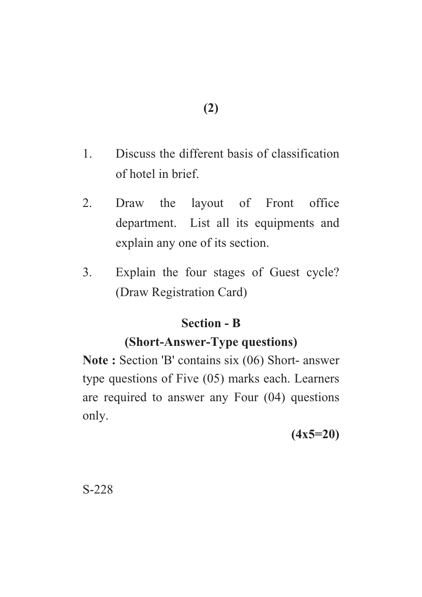- 1. Discuss the different basis of classification of hotel in brief.
- 2. Draw the layout of Front office department. List all its equipments and explain any one of its section.
- 3. Explain the four stages of Guest cycle? (Draw Registration Card)

#### **Section - B**

#### **(Short-Answer-Type questions)**

**Note :** Section 'B' contains six (06) Short- answer type questions of Five (05) marks each. Learners are required to answer any Four (04) questions only.

**(4x5=20)**

S-228